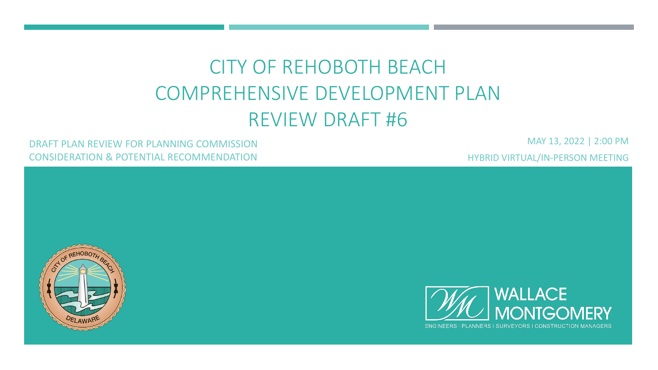# CITY OF REHOBOTH BEACH COMPREHENSIVE DEVELOPMENT PLAN REVIEW DRAFT #6

#### DRAFT PLAN REVIEW FOR PLANNING COMMISSION CONSIDERATION & POTENTIAL RECOMMENDATION

MAY 13, 2022 | 2:00 PM HYBRID VIRTUAL/IN-PERSON MEETING



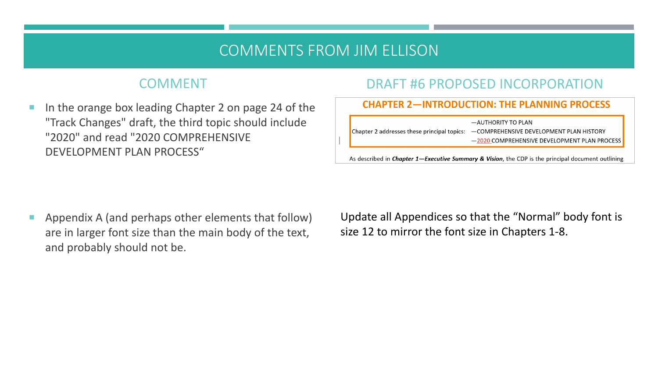# COMMENTS FROM JIM ELLISON

# COMMENT

In the orange box leading Chapter 2 on page 24 of the "Track Changes" draft, the third topic should include "2020" and read "2020 COMPREHENSIVE DEVELOPMENT PLAN PROCESS"

# DRAFT #6 PROPOSED INCORPORATION

#### **CHAPTER 2-INTRODUCTION: THE PLANNING PROCESS**

-AUTHORITY TO PLAN

Chapter 2 addresses these principal topics: -COMPREHENSIVE DEVELOPMENT PLAN HISTORY

-2020 COMPREHENSIVE DEVELOPMENT PLAN PROCESS

As described in *Chapter 1-Executive Summary & Vision*, the CDP is the principal document outlining

 $\blacksquare$  Appendix A (and perhaps other elements that follow) are in larger font size than the main body of the text, and probably should not be.

Update all Appendices so that the "Normal" body font is size 12 to mirror the font size in Chapters 1-8.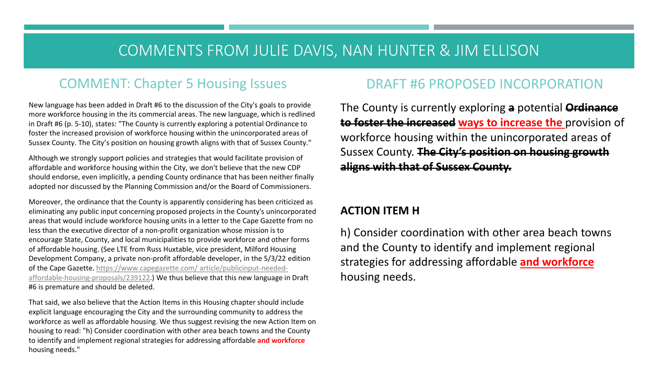# COMMENTS FROM JULIE DAVIS, NAN HUNTER & JIM ELLISON

# COMMENT: Chapter 5 Housing Issues

New language has been added in Draft #6 to the discussion of the City's goals to provide more workforce housing in the its commercial areas. The new language, which is redlined in Draft #6 (p. 5-10), states: "The County is currently exploring a potential Ordinance to foster the increased provision of workforce housing within the unincorporated areas of Sussex County. The City's position on housing growth aligns with that of Sussex County."

Although we strongly support policies and strategies that would facilitate provision of affordable and workforce housing within the City, we don't believe that the new CDP should endorse, even implicitly, a pending County ordinance that has been neither finally adopted nor discussed by the Planning Commission and/or the Board of Commissioners.

Moreover, the ordinance that the County is apparently considering has been criticized as eliminating any public input concerning proposed projects in the County's unincorporated areas that would include workforce housing units in a letter to the Cape Gazette from no less than the executive director of a non-profit organization whose mission is to encourage State, County, and local municipalities to provide workforce and other forms of affordable housing. (See LTE from Russ Huxtable, vice president, Milford Housing Development Company, a private non-profit affordable developer, in the 5/3/22 edition [of the Cape Gazette. https://www.capegazette.com/ article/publicinput-needed](https://www.capegazette.com/article/publicinput-needed-affordable-housing-proposals/239122)affordable-housing-proposals/239122.) We thus believe that this new language in Draft #6 is premature and should be deleted.

That said, we also believe that the Action Items in this Housing chapter should include explicit language encouraging the City and the surrounding community to address the workforce as well as affordable housing. We thus suggest revising the new Action Item on housing to read: "h) Consider coordination with other area beach towns and the County to identify and implement regional strategies for addressing affordable **and workforce**  housing needs."

## DRAFT #6 PROPOSED INCORPORATION

The County is currently exploring **a** potential **Ordinance to foster the increased ways to increase the** provision of workforce housing within the unincorporated areas of Sussex County. **The City's position on housing growth aligns with that of Sussex County.**

#### **ACTION ITEM H**

h) Consider coordination with other area beach towns and the County to identify and implement regional strategies for addressing affordable **and workforce**  housing needs.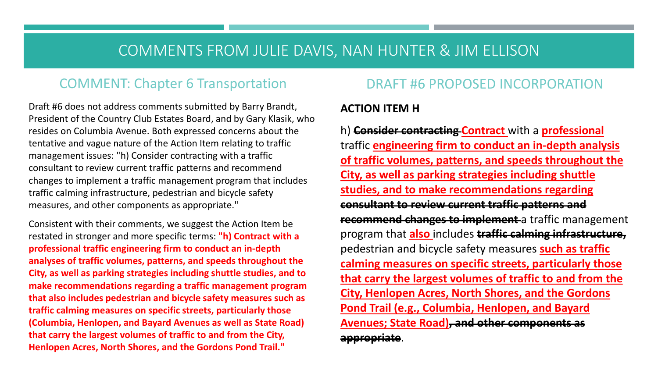# COMMENTS FROM JULIE DAVIS, NAN HUNTER & JIM ELLISON

## COMMENT: Chapter 6 Transportation

Draft #6 does not address comments submitted by Barry Brandt, President of the Country Club Estates Board, and by Gary Klasik, who resides on Columbia Avenue. Both expressed concerns about the tentative and vague nature of the Action Item relating to traffic management issues: "h) Consider contracting with a traffic consultant to review current traffic patterns and recommend changes to implement a traffic management program that includes traffic calming infrastructure, pedestrian and bicycle safety measures, and other components as appropriate."

Consistent with their comments, we suggest the Action Item be restated in stronger and more specific terms: **"h) Contract with a professional traffic engineering firm to conduct an in-depth analyses of traffic volumes, patterns, and speeds throughout the City, as well as parking strategies including shuttle studies, and to make recommendations regarding a traffic management program that also includes pedestrian and bicycle safety measures such as traffic calming measures on specific streets, particularly those (Columbia, Henlopen, and Bayard Avenues as well as State Road) that carry the largest volumes of traffic to and from the City, Henlopen Acres, North Shores, and the Gordons Pond Trail."**

## DRAFT #6 PROPOSED INCORPORATION

#### **ACTION ITEM H**

h) **Consider contracting Contract** with a **professional**  traffic **engineering firm to conduct an in-depth analysis of traffic volumes, patterns, and speeds throughout the City, as well as parking strategies including shuttle studies, and to make recommendations regarding consultant to review current traffic patterns and recommend changes to implement** a traffic management program that **also** includes **traffic calming infrastructure,**  pedestrian and bicycle safety measures **such as traffic calming measures on specific streets, particularly those that carry the largest volumes of traffic to and from the City, Henlopen Acres, North Shores, and the Gordons Pond Trail (e.g., Columbia, Henlopen, and Bayard Avenues; State Road), and other components as appropriate**.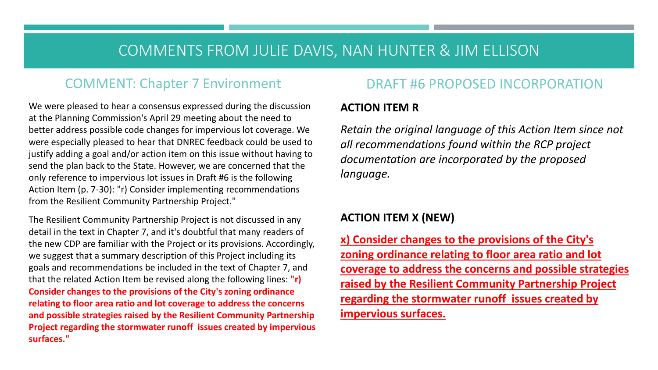# COMMENTS FROM JULIE DAVIS, NAN HUNTER & JIM ELLISON

## COMMENT: Chapter 7 Environment

We were pleased to hear a consensus expressed during the discussion at the Planning Commission's April 29 meeting about the need to better address possible code changes for impervious lot coverage. We were especially pleased to hear that DNREC feedback could be used to justify adding a goal and/or action item on this issue without having to send the plan back to the State. However, we are concerned that the only reference to impervious lot issues in Draft #6 is the following Action Item (p. 7-30): "r) Consider implementing recommendations from the Resilient Community Partnership Project."

The Resilient Community Partnership Project is not discussed in any detail in the text in Chapter 7, and it's doubtful that many readers of the new CDP are familiar with the Project or its provisions. Accordingly, we suggest that a summary description of this Project including its goals and recommendations be included in the text of Chapter 7, and that the related Action Item be revised along the following lines: **"r) Consider changes to the provisions of the City's zoning ordinance relating to floor area ratio and lot coverage to address the concerns and possible strategies raised by the Resilient Community Partnership Project regarding the stormwater runoff issues created by impervious surfaces."**

#### DRAFT #6 PROPOSED INCORPORATION

#### **ACTION ITEM R**

*Retain the original language of this Action Item since not all recommendations found within the RCP project documentation are incorporated by the proposed language.*

#### **ACTION ITEM X (NEW)**

**x) Consider changes to the provisions of the City's zoning ordinance relating to floor area ratio and lot coverage to address the concerns and possible strategies raised by the Resilient Community Partnership Project regarding the stormwater runoff issues created by impervious surfaces.**